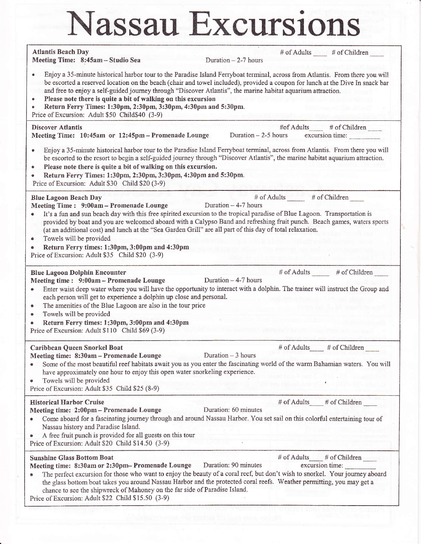## Nassau Excursions

| <b>Atlantis Beach Day</b><br>Meeting Time: 8:45am - Studio Sea                                                                                                                                                                                                                                                                                                                                                                                                                                                                                                      | # of Adults # of Children<br>Duration - 2-7 hours                                                                                                                                                                                                                                                                                |  |
|---------------------------------------------------------------------------------------------------------------------------------------------------------------------------------------------------------------------------------------------------------------------------------------------------------------------------------------------------------------------------------------------------------------------------------------------------------------------------------------------------------------------------------------------------------------------|----------------------------------------------------------------------------------------------------------------------------------------------------------------------------------------------------------------------------------------------------------------------------------------------------------------------------------|--|
| Enjoy a 35-minute historical harbor tour to the Paradise Island Ferryboat terminal, across from Atlantis. From there you will<br>be escorted a reserved location on the beach (chair and towel included), provided a coupon for lunch at the Dive In snack bar<br>and free to enjoy a self-guided journey through "Discover Atlantis", the marine habitat aquarium attraction.<br>Please note there is quite a bit of walking on this excursion<br>Return Ferry Times: 1:30pm, 2:30pm, 3:30pm, 4:30pm and 5:30pm.<br>Price of Excursion: Adult \$50 Child\$40 (3-9) |                                                                                                                                                                                                                                                                                                                                  |  |
| <b>Discover Atlantis</b><br>Meeting Time: 10:45am or 12:45pm - Promenade Lounge                                                                                                                                                                                                                                                                                                                                                                                                                                                                                     | #of Adults____ # of Children<br>Duration $-2-5$ hours excursion time:                                                                                                                                                                                                                                                            |  |
| Enjoy a 35-minute historical harbor tour to the Paradise Island Ferryboat terminal, across from Atlantis. From there you will<br>be escorted to the resort to begin a self-guided journey through "Discover Atlantis", the marine habitat aquarium attraction.<br>Please note there is quite a bit of walking on this excursion.<br>۰<br>Return Ferry Times: 1:30pm, 2:30pm, 3:30pm, 4:30pm and 5:30pm.<br>⊕<br>Price of Excursion: Adult \$30 Child \$20 (3-9)                                                                                                     |                                                                                                                                                                                                                                                                                                                                  |  |
| <b>Blue Lagoon Beach Day</b><br>Meeting Time: 9:00am - Promenade Lounge<br>(at an additional cost) and lunch at the "Sea Garden Grill" are all part of this day of total relaxation.<br>Towels will be provided<br>Return Ferry times: 1:30pm, 3:00pm and 4:30pm<br>Price of Excursion: Adult \$35 Child \$20 (3-9)                                                                                                                                                                                                                                                 | # of Adults _____ # of Children<br>Duration - 4-7 hours<br>It's a fun and sun beach day with this free spirited excursion to the tropical paradise of Blue Lagoon. Transportation is<br>provided by boat and you are welcomed aboard with a Calypso Band and refreshing fruit punch. Beach games, waters sports                  |  |
| <b>Blue Lagoon Dolphin Encounter</b><br>Meeting time : 9:00am - Promenade Lounge<br>۰<br>each person will get to experience a dolphin up close and personal.<br>The amenities of the Blue Lagoon are also in the tour price<br>$\bullet$<br>Towels will be provided<br>۰<br>Return Ferry times: 1:30pm, 3:00pm and 4:30pm<br>Price of Excursion: Adult \$110 Child \$69 (3-9)                                                                                                                                                                                       | # of Adults _____ # of Children<br>Duration - 4-7 hours<br>Enter waist deep water where you will have the opportunity to interact with a dolphin. The trainer will instruct the Group and                                                                                                                                        |  |
| Caribbean Queen Snorkel Boat<br>Meeting time: 8:30am - Promenade Lounge<br>have approximately one hour to enjoy this open water snorkeling experience.<br>Towels will be provided<br>ø<br>Price of Excursion: Adult \$35 Child \$25 (8-9)                                                                                                                                                                                                                                                                                                                           | # of Adults # of Children<br>Duration $-3$ hours<br>Some of the most beautiful reef habitats await you as you enter the fascinating world of the warm Bahamian waters. You will                                                                                                                                                  |  |
| <b>Historical Harbor Cruise</b><br>Meeting time: 2:00pm - Promenade Lounge<br>●<br>Nassau history and Paradise Island.<br>A free fruit punch is provided for all guests on this tour<br>ø<br>Price of Excursion: Adult \$20 Child \$14.50 (3-9)                                                                                                                                                                                                                                                                                                                     | # of Adults # of Children<br>Duration: 60 minutes<br>Come aboard for a fascinating journey through and around Nassau Harbor. You set sail on this colorful entertaining tour of                                                                                                                                                  |  |
| <b>Sunshine Glass Bottom Boat</b><br>Meeting time: 8:30am or 2:30pm- Promenade Lounge<br>۰<br>chance to see the shipwreck of Mahoney on the far side of Paradise Island.<br>Price of Excursion: Adult \$22 Child \$15.50 (3-9)                                                                                                                                                                                                                                                                                                                                      | # of Adults<br># of Children<br>Duration: 90 minutes<br>excursion time:<br>The perfect excursion for those who want to enjoy the beauty of a coral reef, but don't wish to snorkel. Your journey aboard<br>the glass bottom boat takes you around Nassau Harbor and the protected coral reefs. Weather permitting, you may get a |  |